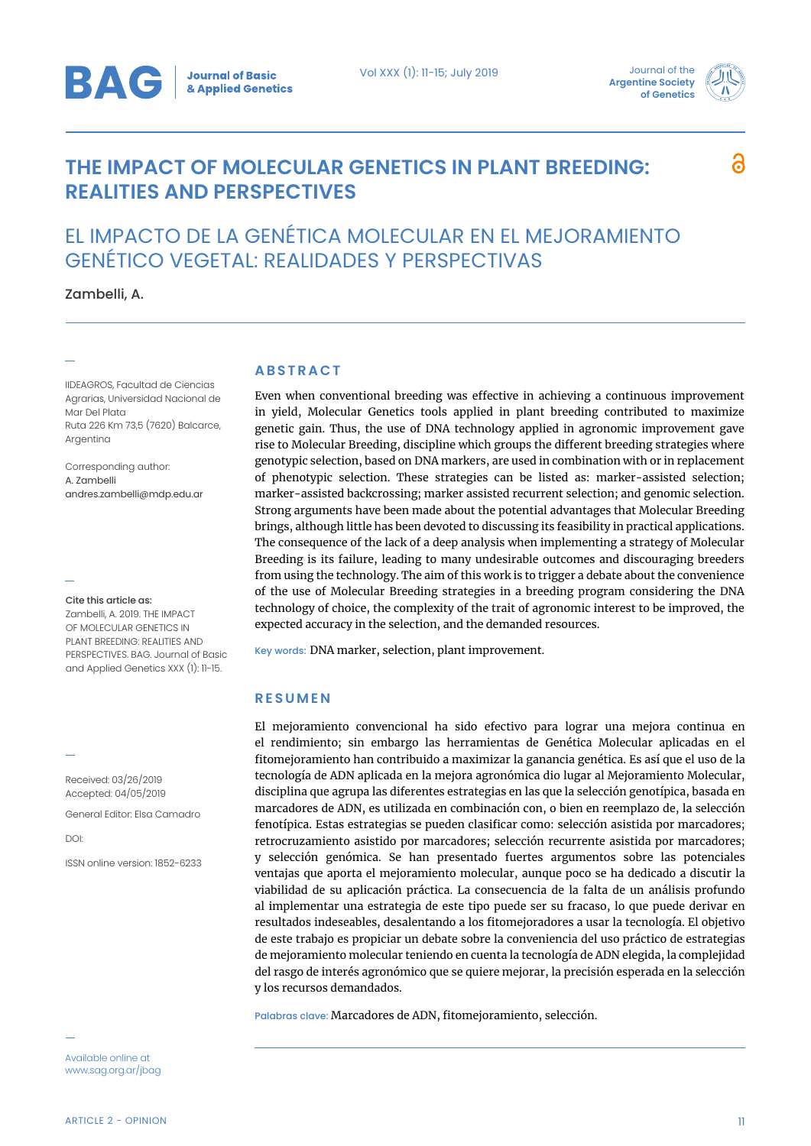

## **THE IMPACT OF MOLECULAR GENETICS IN PLANT BREEDING: REALITIES AND PERSPECTIVES**



# EL IMPACTO DE LA GENÉTICA MOLECULAR EN EL MEJORAMIENTO GENÉTICO VEGETAL: REALIDADES Y PERSPECTIVAS

Zambelli, A.

IIDEAGROS, Facultad de Ciencias Agrarias, Universidad Nacional de Mar Del Plata Ruta 226 Km 73,5 (7620) Balcarce, Argentina

Corresponding author: A. Zambelli andres.zambelli@mdp.edu.ar

Cite this article as: Zambelli, A. 2019. THE IMPACT OF MOLECULAR GENETICS IN PLANT BREEDING: REALITIES AND PERSPECTIVES. BAG. Journal of Basic and Applied Genetics XXX (1): 11-15.

Received: 03/26/2019 Accepted: 04/05/2019

General Editor: Elsa Camadro

DOI:

ISSN online version: 1852-6233

Available online at www.sag.org.ar/jbag

#### **ABSTRACT**

Even when conventional breeding was effective in achieving a continuous improvement in yield, Molecular Genetics tools applied in plant breeding contributed to maximize genetic gain. Thus, the use of DNA technology applied in agronomic improvement gave rise to Molecular Breeding, discipline which groups the different breeding strategies where genotypic selection, based on DNA markers, are used in combination with or in replacement of phenotypic selection. These strategies can be listed as: marker-assisted selection; marker-assisted backcrossing; marker assisted recurrent selection; and genomic selection. Strong arguments have been made about the potential advantages that Molecular Breeding brings, although little has been devoted to discussing its feasibility in practical applications. The consequence of the lack of a deep analysis when implementing a strategy of Molecular Breeding is its failure, leading to many undesirable outcomes and discouraging breeders from using the technology. The aim of this work is to trigger a debate about the convenience of the use of Molecular Breeding strategies in a breeding program considering the DNA technology of choice, the complexity of the trait of agronomic interest to be improved, the expected accuracy in the selection, and the demanded resources.

Key words: DNA marker, selection, plant improvement.

### **RESUMEN**

El mejoramiento convencional ha sido efectivo para lograr una mejora continua en el rendimiento; sin embargo las herramientas de Genética Molecular aplicadas en el fitomejoramiento han contribuido a maximizar la ganancia genética. Es así que el uso de la tecnología de ADN aplicada en la mejora agronómica dio lugar al Mejoramiento Molecular, disciplina que agrupa las diferentes estrategias en las que la selección genotípica, basada en marcadores de ADN, es utilizada en combinación con, o bien en reemplazo de, la selección fenotípica. Estas estrategias se pueden clasificar como: selección asistida por marcadores; retrocruzamiento asistido por marcadores; selección recurrente asistida por marcadores; y selección genómica. Se han presentado fuertes argumentos sobre las potenciales ventajas que aporta el mejoramiento molecular, aunque poco se ha dedicado a discutir la viabilidad de su aplicación práctica. La consecuencia de la falta de un análisis profundo al implementar una estrategia de este tipo puede ser su fracaso, lo que puede derivar en resultados indeseables, desalentando a los fitomejoradores a usar la tecnología. El objetivo de este trabajo es propiciar un debate sobre la conveniencia del uso práctico de estrategias de mejoramiento molecular teniendo en cuenta la tecnología de ADN elegida, la complejidad del rasgo de interés agronómico que se quiere mejorar, la precisión esperada en la selección y los recursos demandados.

Palabras clave: Marcadores de ADN, fitomejoramiento, selección.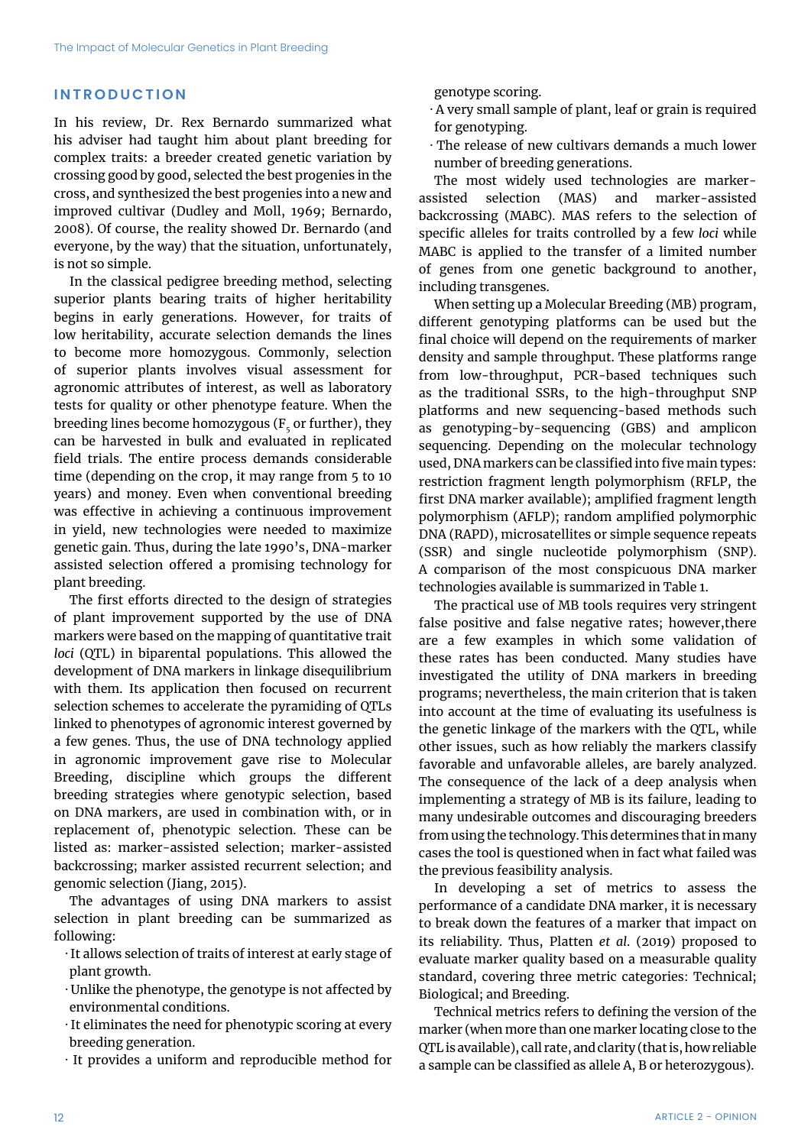### **INTRODUCTION**

In his review, Dr. Rex Bernardo summarized what his adviser had taught him about plant breeding for complex traits: a breeder created genetic variation by crossing good by good, selected the best progenies in the cross, and synthesized the best progenies into a new and improved cultivar (Dudley and Moll, 1969; Bernardo, 2008). Of course, the reality showed Dr. Bernardo (and everyone, by the way) that the situation, unfortunately, is not so simple.

In the classical pedigree breeding method, selecting superior plants bearing traits of higher heritability begins in early generations. However, for traits of low heritability, accurate selection demands the lines to become more homozygous. Commonly, selection of superior plants involves visual assessment for agronomic attributes of interest, as well as laboratory tests for quality or other phenotype feature. When the breeding lines become homozygous ( $F<sub>c</sub>$  or further), they can be harvested in bulk and evaluated in replicated field trials. The entire process demands considerable time (depending on the crop, it may range from 5 to 10 years) and money. Even when conventional breeding was effective in achieving a continuous improvement in yield, new technologies were needed to maximize genetic gain. Thus, during the late 1990's, DNA-marker assisted selection offered a promising technology for plant breeding.

The first efforts directed to the design of strategies of plant improvement supported by the use of DNA markers were based on the mapping of quantitative trait *loci* (QTL) in biparental populations. This allowed the development of DNA markers in linkage disequilibrium with them. Its application then focused on recurrent selection schemes to accelerate the pyramiding of QTLs linked to phenotypes of agronomic interest governed by a few genes. Thus, the use of DNA technology applied in agronomic improvement gave rise to Molecular Breeding, discipline which groups the different breeding strategies where genotypic selection, based on DNA markers, are used in combination with, or in replacement of, phenotypic selection. These can be listed as: marker-assisted selection; marker-assisted backcrossing; marker assisted recurrent selection; and genomic selection (Jiang, 2015).

The advantages of using DNA markers to assist selection in plant breeding can be summarized as following:

- · It allows selection of traits of interest at early stage of plant growth.
- · Unlike the phenotype, the genotype is not affected by environmental conditions.
- · It eliminates the need for phenotypic scoring at every breeding generation.
- · It provides a uniform and reproducible method for

genotype scoring.

- · A very small sample of plant, leaf or grain is required for genotyping.
- · The release of new cultivars demands a much lower number of breeding generations.

The most widely used technologies are markerassisted selection (MAS) and marker-assisted backcrossing (MABC). MAS refers to the selection of specific alleles for traits controlled by a few *loci* while MABC is applied to the transfer of a limited number of genes from one genetic background to another, including transgenes.

When setting up a Molecular Breeding (MB) program, different genotyping platforms can be used but the final choice will depend on the requirements of marker density and sample throughput. These platforms range from low-throughput, PCR-based techniques such as the traditional SSRs, to the high-throughput SNP platforms and new sequencing-based methods such as genotyping-by-sequencing (GBS) and amplicon sequencing. Depending on the molecular technology used, DNA markers can be classified into five main types: restriction fragment length polymorphism (RFLP, the first DNA marker available); amplified fragment length polymorphism (AFLP); random amplified polymorphic DNA (RAPD), microsatellites or simple sequence repeats (SSR) and single nucleotide polymorphism (SNP). A comparison of the most conspicuous DNA marker technologies available is summarized in Table 1.

The practical use of MB tools requires very stringent false positive and false negative rates; however,there are a few examples in which some validation of these rates has been conducted. Many studies have investigated the utility of DNA markers in breeding programs; nevertheless, the main criterion that is taken into account at the time of evaluating its usefulness is the genetic linkage of the markers with the QTL, while other issues, such as how reliably the markers classify favorable and unfavorable alleles, are barely analyzed. The consequence of the lack of a deep analysis when implementing a strategy of MB is its failure, leading to many undesirable outcomes and discouraging breeders from using the technology. This determines that in many cases the tool is questioned when in fact what failed was the previous feasibility analysis.

In developing a set of metrics to assess the performance of a candidate DNA marker, it is necessary to break down the features of a marker that impact on its reliability. Thus, Platten *et al*. (2019) proposed to evaluate marker quality based on a measurable quality standard, covering three metric categories: Technical; Biological; and Breeding.

Technical metrics refers to defining the version of the marker (when more than one marker locating close to the QTL is available), call rate, and clarity (that is, how reliable a sample can be classified as allele A, B or heterozygous).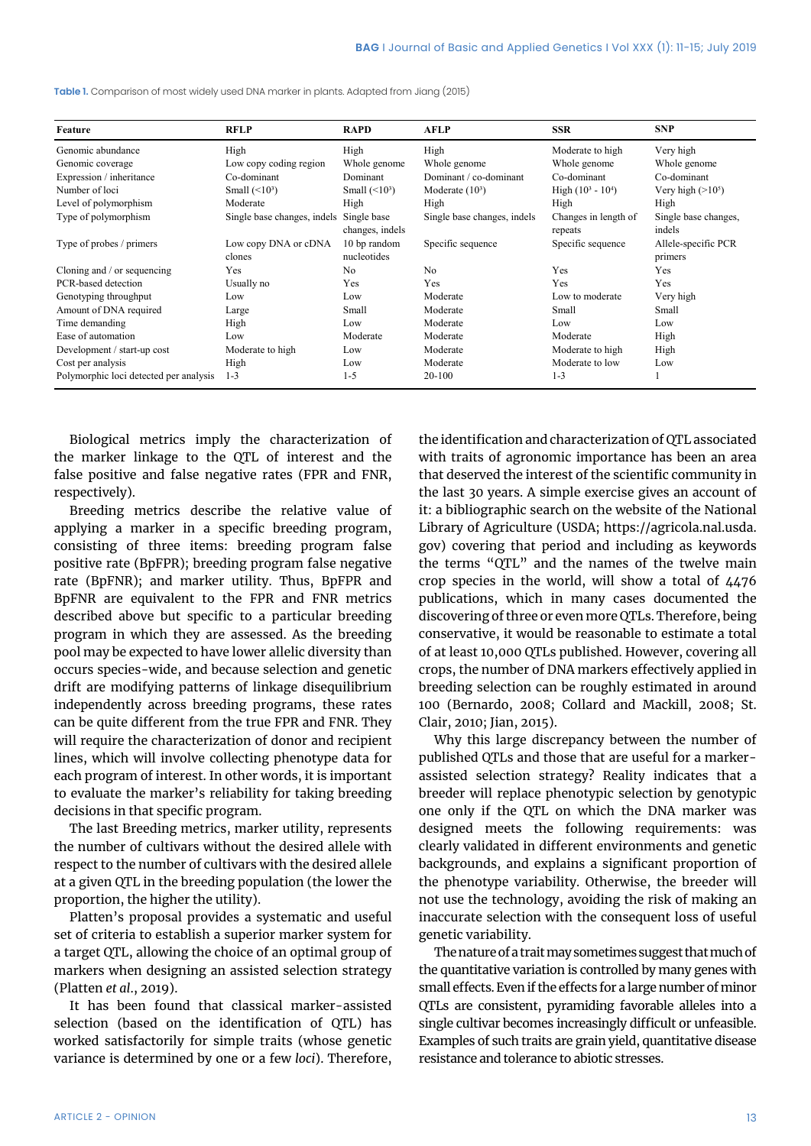| Feature                                | <b>RFLP</b>                    | <b>RAPD</b>                    | <b>AFLP</b>                 | <b>SSR</b>                      | <b>SNP</b>                     |
|----------------------------------------|--------------------------------|--------------------------------|-----------------------------|---------------------------------|--------------------------------|
| Genomic abundance                      | High                           | High                           | High                        | Moderate to high                | Very high                      |
| Genomic coverage                       | Low copy coding region         | Whole genome                   | Whole genome                | Whole genome                    | Whole genome                   |
| Expression / inheritance               | Co-dominant                    | Dominant                       | Dominant / co-dominant      | Co-dominant                     | Co-dominant                    |
| Number of loci                         | Small $(\leq 10^3)$            | Small $(\leq 10^3)$            | Moderate $(10^3)$           | High $(10^3 - 10^4)$            | Very high $(>10^5)$            |
| Level of polymorphism                  | Moderate                       | High                           | High                        | High                            | High                           |
| Type of polymorphism                   | Single base changes, indels    | Single base<br>changes, indels | Single base changes, indels | Changes in length of<br>repeats | Single base changes,<br>indels |
| Type of probes / primers               | Low copy DNA or cDNA<br>clones | 10 bp random<br>nucleotides    | Specific sequence           | Specific sequence               | Allele-specific PCR<br>primers |
| Cloning and / or sequencing            | Yes                            | N <sub>0</sub>                 | No.                         | Yes                             | Yes                            |
| PCR-based detection                    | Usually no                     | Yes                            | Yes                         | Yes                             | Yes                            |
| Genotyping throughput                  | Low                            | Low                            | Moderate                    | Low to moderate                 | Very high                      |
| Amount of DNA required                 | Large                          | Small                          | Moderate                    | Small                           | Small                          |
| Time demanding                         | High                           | Low                            | Moderate                    | Low                             | Low                            |
| Ease of automation                     | Low                            | Moderate                       | Moderate                    | Moderate                        | High                           |
| Development / start-up cost            | Moderate to high               | Low                            | Moderate                    | Moderate to high                | High                           |
| Cost per analysis                      | High                           | Low                            | Moderate                    | Moderate to low                 | Low                            |
| Polymorphic loci detected per analysis | $1 - 3$                        | $1 - 5$                        | 20-100                      | $1 - 3$                         |                                |

**Table 1.** Comparison of most widely used DNA marker in plants. Adapted from Jiang (2015)

Biological metrics imply the characterization of the marker linkage to the QTL of interest and the false positive and false negative rates (FPR and FNR, respectively).

Breeding metrics describe the relative value of applying a marker in a specific breeding program, consisting of three items: breeding program false positive rate (BpFPR); breeding program false negative rate (BpFNR); and marker utility. Thus, BpFPR and BpFNR are equivalent to the FPR and FNR metrics described above but specific to a particular breeding program in which they are assessed. As the breeding pool may be expected to have lower allelic diversity than occurs species-wide, and because selection and genetic drift are modifying patterns of linkage disequilibrium independently across breeding programs, these rates can be quite different from the true FPR and FNR. They will require the characterization of donor and recipient lines, which will involve collecting phenotype data for each program of interest. In other words, it is important to evaluate the marker's reliability for taking breeding decisions in that specific program.

The last Breeding metrics, marker utility, represents the number of cultivars without the desired allele with respect to the number of cultivars with the desired allele at a given QTL in the breeding population (the lower the proportion, the higher the utility).

Platten's proposal provides a systematic and useful set of criteria to establish a superior marker system for a target QTL, allowing the choice of an optimal group of markers when designing an assisted selection strategy (Platten *et al*., 2019).

It has been found that classical marker-assisted selection (based on the identification of QTL) has worked satisfactorily for simple traits (whose genetic variance is determined by one or a few *loci*). Therefore, the identification and characterization of QTL associated with traits of agronomic importance has been an area that deserved the interest of the scientific community in the last 30 years. A simple exercise gives an account of it: a bibliographic search on the website of the National Library of Agriculture (USDA; https://agricola.nal.usda. gov) covering that period and including as keywords the terms "QTL" and the names of the twelve main crop species in the world, will show a total of 4476 publications, which in many cases documented the discovering of three or even more QTLs. Therefore, being conservative, it would be reasonable to estimate a total of at least 10,000 QTLs published. However, covering all crops, the number of DNA markers effectively applied in breeding selection can be roughly estimated in around 100 (Bernardo, 2008; Collard and Mackill, 2008; St. Clair, 2010; Jian, 2015).

Why this large discrepancy between the number of published QTLs and those that are useful for a markerassisted selection strategy? Reality indicates that a breeder will replace phenotypic selection by genotypic one only if the QTL on which the DNA marker was designed meets the following requirements: was clearly validated in different environments and genetic backgrounds, and explains a significant proportion of the phenotype variability. Otherwise, the breeder will not use the technology, avoiding the risk of making an inaccurate selection with the consequent loss of useful genetic variability.

The nature of a trait may sometimes suggest that much of the quantitative variation is controlled by many genes with small effects. Even if the effects for a large number of minor QTLs are consistent, pyramiding favorable alleles into a single cultivar becomes increasingly difficult or unfeasible. Examples of such traits are grain yield, quantitative disease resistance and tolerance to abiotic stresses.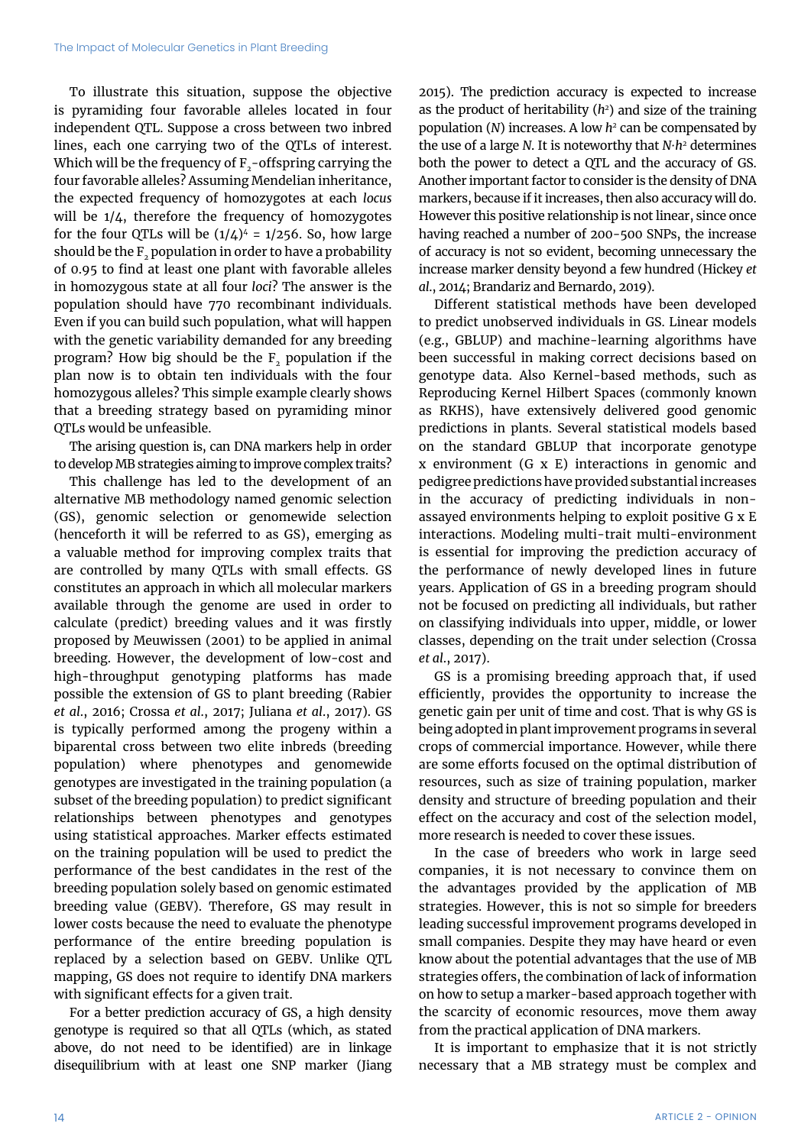To illustrate this situation, suppose the objective is pyramiding four favorable alleles located in four independent QTL. Suppose a cross between two inbred lines, each one carrying two of the QTLs of interest. Which will be the frequency of  $F_{2}$ -offspring carrying the four favorable alleles? Assuming Mendelian inheritance, the expected frequency of homozygotes at each *locus* will be 1/4, therefore the frequency of homozygotes for the four QTLs will be  $(1/4)^4$  = 1/256. So, how large should be the  $F<sub>2</sub>$  population in order to have a probability of 0.95 to find at least one plant with favorable alleles in homozygous state at all four *loci*? The answer is the population should have 770 recombinant individuals. Even if you can build such population, what will happen with the genetic variability demanded for any breeding program? How big should be the  $F<sub>2</sub>$  population if the plan now is to obtain ten individuals with the four homozygous alleles? This simple example clearly shows that a breeding strategy based on pyramiding minor QTLs would be unfeasible.

The arising question is, can DNA markers help in order to develop MB strategies aiming to improve complex traits?

This challenge has led to the development of an alternative MB methodology named genomic selection (GS), genomic selection or genomewide selection (henceforth it will be referred to as GS), emerging as a valuable method for improving complex traits that are controlled by many QTLs with small effects. GS constitutes an approach in which all molecular markers available through the genome are used in order to calculate (predict) breeding values and it was firstly proposed by Meuwissen (2001) to be applied in animal breeding. However, the development of low-cost and high-throughput genotyping platforms has made possible the extension of GS to plant breeding (Rabier *et al*., 2016; Crossa *et al*., 2017; Juliana *et al*., 2017). GS is typically performed among the progeny within a biparental cross between two elite inbreds (breeding population) where phenotypes and genomewide genotypes are investigated in the training population (a subset of the breeding population) to predict significant relationships between phenotypes and genotypes using statistical approaches. Marker effects estimated on the training population will be used to predict the performance of the best candidates in the rest of the breeding population solely based on genomic estimated breeding value (GEBV). Therefore, GS may result in lower costs because the need to evaluate the phenotype performance of the entire breeding population is replaced by a selection based on GEBV. Unlike QTL mapping, GS does not require to identify DNA markers with significant effects for a given trait.

For a better prediction accuracy of GS, a high density genotype is required so that all QTLs (which, as stated above, do not need to be identified) are in linkage disequilibrium with at least one SNP marker (Jiang 2015). The prediction accuracy is expected to increase as the product of heritability (*h2* ) and size of the training population (*N*) increases. A low *h2* can be compensated by the use of a large *N*. It is noteworthy that *N∙h<sup>2</sup>* determines both the power to detect a QTL and the accuracy of GS. Another important factor to consider is the density of DNA markers, because if it increases, then also accuracy will do. However this positive relationship is not linear, since once having reached a number of 200-500 SNPs, the increase of accuracy is not so evident, becoming unnecessary the increase marker density beyond a few hundred (Hickey *et al*., 2014; Brandariz and Bernardo, 2019).

Different statistical methods have been developed to predict unobserved individuals in GS. Linear models (e.g., GBLUP) and machine-learning algorithms have been successful in making correct decisions based on genotype data. Also Kernel-based methods, such as Reproducing Kernel Hilbert Spaces (commonly known as RKHS), have extensively delivered good genomic predictions in plants. Several statistical models based on the standard GBLUP that incorporate genotype x environment (G x E) interactions in genomic and pedigree predictions have provided substantial increases in the accuracy of predicting individuals in nonassayed environments helping to exploit positive G x E interactions. Modeling multi-trait multi-environment is essential for improving the prediction accuracy of the performance of newly developed lines in future years. Application of GS in a breeding program should not be focused on predicting all individuals, but rather on classifying individuals into upper, middle, or lower classes, depending on the trait under selection (Crossa *et al*., 2017).

GS is a promising breeding approach that, if used efficiently, provides the opportunity to increase the genetic gain per unit of time and cost. That is why GS is being adopted in plant improvement programs in several crops of commercial importance. However, while there are some efforts focused on the optimal distribution of resources, such as size of training population, marker density and structure of breeding population and their effect on the accuracy and cost of the selection model, more research is needed to cover these issues.

In the case of breeders who work in large seed companies, it is not necessary to convince them on the advantages provided by the application of MB strategies. However, this is not so simple for breeders leading successful improvement programs developed in small companies. Despite they may have heard or even know about the potential advantages that the use of MB strategies offers, the combination of lack of information on how to setup a marker-based approach together with the scarcity of economic resources, move them away from the practical application of DNA markers.

It is important to emphasize that it is not strictly necessary that a MB strategy must be complex and